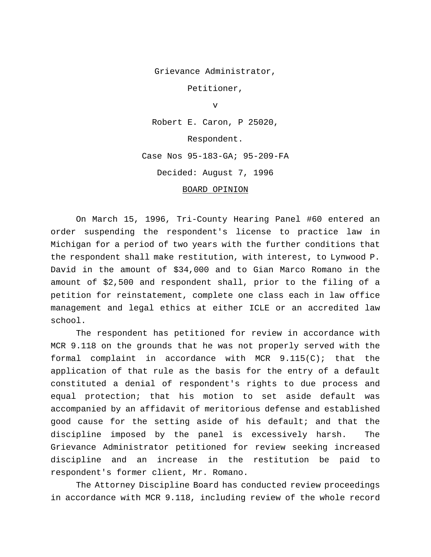Grievance Administrator,

Petitioner,

v

Robert E. Caron, P 25020,

Respondent.

Case Nos 95-183-GA; 95-209-FA

Decided: August 7, 1996

## BOARD OPINION

On March 15, 1996, Tri-County Hearing Panel #60 entered an order suspending the respondent's license to practice law in Michigan for a period of two years with the further conditions that the respondent shall make restitution, with interest, to Lynwood P. David in the amount of \$34,000 and to Gian Marco Romano in the amount of \$2,500 and respondent shall, prior to the filing of a petition for reinstatement, complete one class each in law office management and legal ethics at either ICLE or an accredited law school.

The respondent has petitioned for review in accordance with MCR 9.118 on the grounds that he was not properly served with the formal complaint in accordance with MCR  $9.115(C)$ ; that the application of that rule as the basis for the entry of a default constituted a denial of respondent's rights to due process and equal protection; that his motion to set aside default was accompanied by an affidavit of meritorious defense and established good cause for the setting aside of his default; and that the discipline imposed by the panel is excessively harsh. The Grievance Administrator petitioned for review seeking increased discipline and an increase in the restitution be paid to respondent's former client, Mr. Romano.

The Attorney Discipline Board has conducted review proceedings in accordance with MCR 9.118, including review of the whole record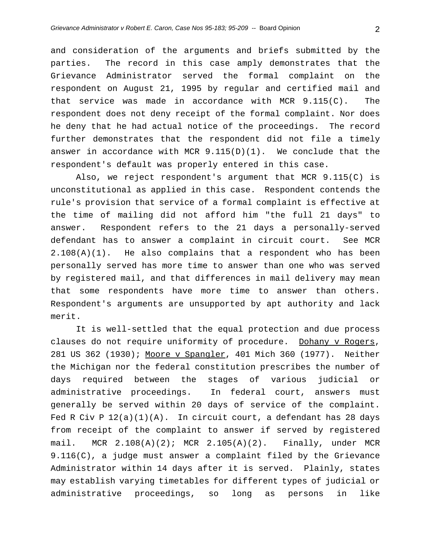and consideration of the arguments and briefs submitted by the parties. The record in this case amply demonstrates that the Grievance Administrator served the formal complaint on the respondent on August 21, 1995 by regular and certified mail and that service was made in accordance with MCR 9.115(C). The respondent does not deny receipt of the formal complaint. Nor does he deny that he had actual notice of the proceedings. The record further demonstrates that the respondent did not file a timely answer in accordance with MCR  $9.115(D)(1)$ . We conclude that the respondent's default was properly entered in this case.

Also, we reject respondent's argument that MCR 9.115(C) is unconstitutional as applied in this case. Respondent contends the rule's provision that service of a formal complaint is effective at the time of mailing did not afford him "the full 21 days" to answer. Respondent refers to the 21 days a personally-served defendant has to answer a complaint in circuit court. See MCR 2.108(A)(1). He also complains that a respondent who has been personally served has more time to answer than one who was served by registered mail, and that differences in mail delivery may mean that some respondents have more time to answer than others. Respondent's arguments are unsupported by apt authority and lack merit.

It is well-settled that the equal protection and due process clauses do not require uniformity of procedure. Dohany v Rogers, 281 US 362 (1930); Moore v Spangler, 401 Mich 360 (1977). Neither the Michigan nor the federal constitution prescribes the number of days required between the stages of various judicial or administrative proceedings. In federal court, answers must generally be served within 20 days of service of the complaint. Fed R Civ P 12(a)(1)(A). In circuit court, a defendant has 28 days from receipt of the complaint to answer if served by registered mail. MCR 2.108(A)(2); MCR 2.105(A)(2). Finally, under MCR 9.116(C), a judge must answer a complaint filed by the Grievance Administrator within 14 days after it is served. Plainly, states may establish varying timetables for different types of judicial or administrative proceedings, so long as persons in like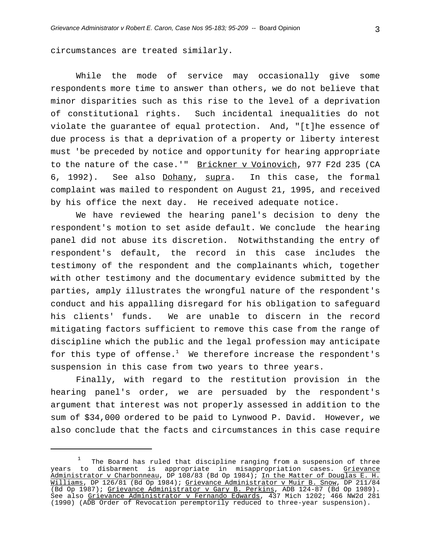circumstances are treated similarly.

While the mode of service may occasionally give some respondents more time to answer than others, we do not believe that minor disparities such as this rise to the level of a deprivation of constitutional rights. Such incidental inequalities do not violate the guarantee of equal protection. And, "[t]he essence of due process is that a deprivation of a property or liberty interest must 'be preceded by notice and opportunity for hearing appropriate to the nature of the case.'" Brickner v Voinovich, 977 F2d 235 (CA 6, 1992). See also Dohany, supra. In this case, the formal complaint was mailed to respondent on August 21, 1995, and received by his office the next day. He received adequate notice.

We have reviewed the hearing panel's decision to deny the respondent's motion to set aside default. We conclude the hearing panel did not abuse its discretion. Notwithstanding the entry of respondent's default, the record in this case includes the testimony of the respondent and the complainants which, together with other testimony and the documentary evidence submitted by the parties, amply illustrates the wrongful nature of the respondent's conduct and his appalling disregard for his obligation to safeguard his clients' funds. We are unable to discern in the record mitigating factors sufficient to remove this case from the range of discipline which the public and the legal profession may anticipate for this type of offense. $^1$  We therefore increase the respondent's suspension in this case from two years to three years.

Finally, with regard to the restitution provision in the hearing panel's order, we are persuaded by the respondent's argument that interest was not properly assessed in addition to the sum of \$34,000 ordered to be paid to Lynwood P. David. However, we also conclude that the facts and circumstances in this case require

 $\frac{1}{2}$  The Board has ruled that discipline ranging from a suspension of three years to disbarment is appropriate in misappropriation cases. <u>Grievance</u> Administrator v Charbonneau, DP 108/83 (Bd Op 1984); In the Matter of Douglas E. H. Williams, DP 126/81 (Bd Op 1984); Grievance Administrator v Muir B. Snow, DP 211/84 (Bd Op 1987); Grievance Administrator v Gary B. Perkins, ADB 124-87 (Bd Op 1989). See also <u>Grievance Administrator v Fernando Edwards</u>, 437 Mich 1202; 466 NW2d 281 (1990) (ADB Order of Revocation peremptorily reduced to three-year suspension).